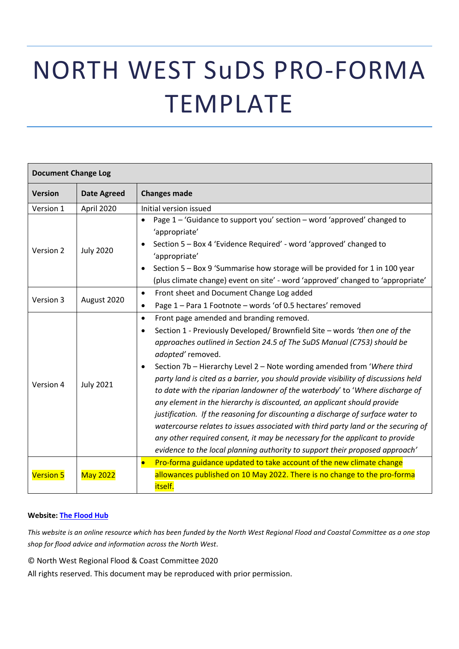# NORTH WEST SuDS PRO-FORMA TEMPLATE

| <b>Document Change Log</b> |                    |                                                                                                                                                                                                                                                                                                                                                                                                                                                                                                                                                                                                                                                                                                                                                                                                                                                                                                                                    |
|----------------------------|--------------------|------------------------------------------------------------------------------------------------------------------------------------------------------------------------------------------------------------------------------------------------------------------------------------------------------------------------------------------------------------------------------------------------------------------------------------------------------------------------------------------------------------------------------------------------------------------------------------------------------------------------------------------------------------------------------------------------------------------------------------------------------------------------------------------------------------------------------------------------------------------------------------------------------------------------------------|
| <b>Version</b>             | <b>Date Agreed</b> | <b>Changes made</b>                                                                                                                                                                                                                                                                                                                                                                                                                                                                                                                                                                                                                                                                                                                                                                                                                                                                                                                |
| Version 1                  | April 2020         | Initial version issued                                                                                                                                                                                                                                                                                                                                                                                                                                                                                                                                                                                                                                                                                                                                                                                                                                                                                                             |
| Version 2                  | <b>July 2020</b>   | Page 1 - 'Guidance to support you' section - word 'approved' changed to<br>$\bullet$<br>'appropriate'<br>Section 5 - Box 4 'Evidence Required' - word 'approved' changed to<br>$\bullet$<br>'appropriate'<br>Section 5 - Box 9 'Summarise how storage will be provided for 1 in 100 year<br>$\bullet$<br>(plus climate change) event on site' - word 'approved' changed to 'appropriate'                                                                                                                                                                                                                                                                                                                                                                                                                                                                                                                                           |
| Version 3                  | August 2020        | Front sheet and Document Change Log added<br>$\bullet$<br>Page 1 - Para 1 Footnote - words 'of 0.5 hectares' removed<br>$\bullet$                                                                                                                                                                                                                                                                                                                                                                                                                                                                                                                                                                                                                                                                                                                                                                                                  |
| Version 4                  | <b>July 2021</b>   | Front page amended and branding removed.<br>$\bullet$<br>Section 1 - Previously Developed/ Brownfield Site - words 'then one of the<br>$\bullet$<br>approaches outlined in Section 24.5 of The SuDS Manual (C753) should be<br>adopted' removed.<br>Section 7b - Hierarchy Level 2 - Note wording amended from 'Where third<br>$\bullet$<br>party land is cited as a barrier, you should provide visibility of discussions held<br>to date with the riparian landowner of the waterbody' to 'Where discharge of<br>any element in the hierarchy is discounted, an applicant should provide<br>justification. If the reasoning for discounting a discharge of surface water to<br>watercourse relates to issues associated with third party land or the securing of<br>any other required consent, it may be necessary for the applicant to provide<br>evidence to the local planning authority to support their proposed approach' |
| <b>Version 5</b>           | <b>May 2022</b>    | Pro-forma guidance updated to take account of the new climate change<br>$\bullet$<br>allowances published on 10 May 2022. There is no change to the pro-forma<br>itself.                                                                                                                                                                                                                                                                                                                                                                                                                                                                                                                                                                                                                                                                                                                                                           |

#### **Website: [The Flood Hub](https://thefloodhub.co.uk/planning-development/)**

*This website is an online resource which has been funded by the North West Regional Flood and Coastal Committee as a one stop shop for flood advice and information across the North West.* 

© North West Regional Flood & Coast Committee 2020

All rights reserved. This document may be reproduced with prior permission.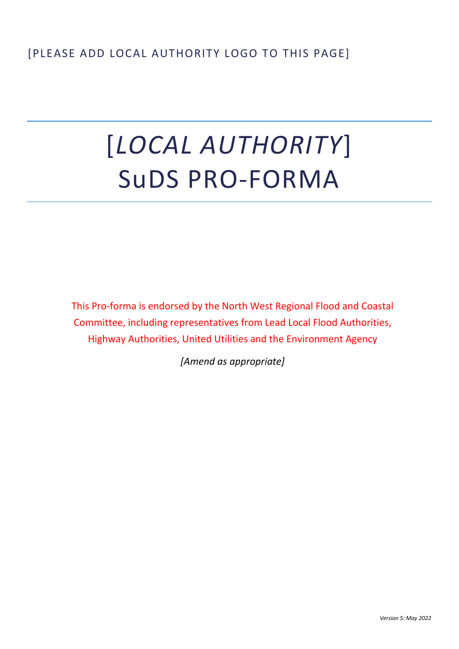# [*LOCAL AUTHORITY*] SuDS PRO-FORMA

This Pro-forma is endorsed by the North West Regional Flood and Coastal Committee, including representatives from Lead Local Flood Authorities, Highway Authorities, United Utilities and the Environment Agency

*[Amend as appropriate]*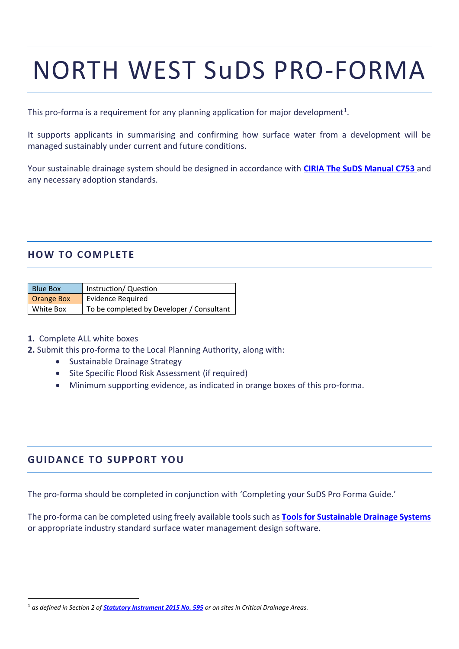# NORTH WEST SuDS PRO-FORMA

This pro-forma is a requirement for any planning application for major development<sup>1</sup>.

It supports applicants in summarising and confirming how surface water from a development will be managed sustainably under current and future conditions.

Your sustainable drainage system should be designed in accordance with **[CIRIA The SuDS Manual C753](http://www.susdrain.org/resources/SuDS_Manual.html)** and any necessary adoption standards.

### **HOW TO COMPLETE**

| <b>Blue Box</b>   | Instruction/ Question                     |
|-------------------|-------------------------------------------|
| <b>Orange Box</b> | <b>Evidence Required</b>                  |
| White Box         | To be completed by Developer / Consultant |

#### **1.** Complete ALL white boxes

- **2.** Submit this pro-forma to the Local Planning Authority, along with:
	- Sustainable Drainage Strategy
	- Site Specific Flood Risk Assessment (if required)
	- Minimum supporting evidence, as indicated in orange boxes of this pro-forma.

### **G UIDANCE TO SUPPORT YOU**

The pro-forma should be completed in conjunction with 'Completing your SuDS Pro Forma Guide.'

The pro-forma can be completed using freely available tools such as **[Tools for Sustainable Drainage Systems](http://www.uksuds.com/)** or appropriate industry standard surface water management design software.

<sup>1</sup> *as defined in Section 2 of [Statutory Instrument 2015 No. 595](http://www.legislation.gov.uk/uksi/2015/595/made) or on sites in Critical Drainage Areas.*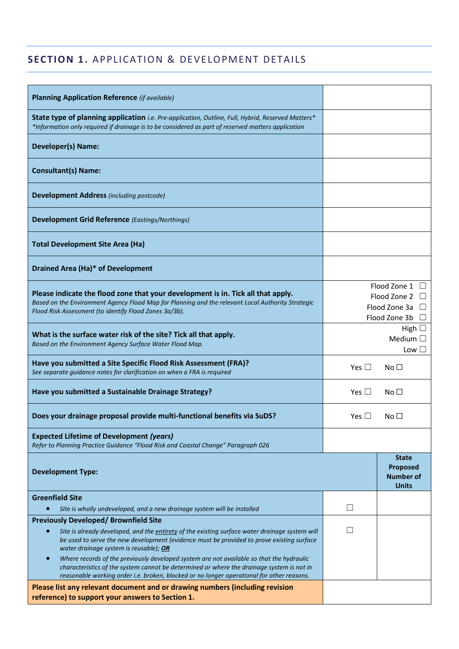## **SECTION 1.** APPLICATION & DEVELOPMENT DETAILS

| <b>Planning Application Reference (if available)</b>                                                                                                                                                                                                                                               |               |                                                                |
|----------------------------------------------------------------------------------------------------------------------------------------------------------------------------------------------------------------------------------------------------------------------------------------------------|---------------|----------------------------------------------------------------|
| State type of planning application <i>i.e. Pre-application, Outline, Full, Hybrid, Reserved Matters*</i><br>*Information only required if drainage is to be considered as part of reserved matters application                                                                                     |               |                                                                |
| <b>Developer(s) Name:</b>                                                                                                                                                                                                                                                                          |               |                                                                |
| <b>Consultant(s) Name:</b>                                                                                                                                                                                                                                                                         |               |                                                                |
| <b>Development Address</b> (including postcode)                                                                                                                                                                                                                                                    |               |                                                                |
| <b>Development Grid Reference (Eastings/Northings)</b>                                                                                                                                                                                                                                             |               |                                                                |
| <b>Total Development Site Area (Ha)</b>                                                                                                                                                                                                                                                            |               |                                                                |
| <b>Drained Area (Ha)* of Development</b>                                                                                                                                                                                                                                                           |               |                                                                |
| Please indicate the flood zone that your development is in. Tick all that apply.<br>Based on the Environment Agency Flood Map for Planning and the relevant Local Authority Strategic<br>Flood Risk Assessment (to identify Flood Zones 3a/3b).                                                    |               | Flood Zone 1<br>Flood Zone 2<br>Flood Zone 3a<br>Flood Zone 3b |
| What is the surface water risk of the site? Tick all that apply.<br>Based on the Environment Agency Surface Water Flood Map.                                                                                                                                                                       |               | High $\Box$<br>Medium $\square$<br>Low $\Box$                  |
| Have you submitted a Site Specific Flood Risk Assessment (FRA)?<br>See separate guidance notes for clarification on when a FRA is required                                                                                                                                                         | Yes $\Box$    | No $\Box$                                                      |
| Have you submitted a Sustainable Drainage Strategy?                                                                                                                                                                                                                                                | Yes $\square$ | No <sub>1</sub>                                                |
| Does your drainage proposal provide multi-functional benefits via SuDS?                                                                                                                                                                                                                            | Yes $\Box$    | No <sub>1</sub>                                                |
| <b>Expected Lifetime of Development (years)</b><br>Refer to Planning Practice Guidance "Flood Risk and Coastal Change" Paragraph 026                                                                                                                                                               |               |                                                                |
| <b>Development Type:</b>                                                                                                                                                                                                                                                                           |               | <b>State</b><br>Proposed<br><b>Number of</b><br><b>Units</b>   |
| <b>Greenfield Site</b>                                                                                                                                                                                                                                                                             | $\mathsf{L}$  |                                                                |
| Site is wholly undeveloped, and a new drainage system will be installed                                                                                                                                                                                                                            |               |                                                                |
| <b>Previously Developed/ Brownfield Site</b><br>Site is already developed, and the entirety of the existing surface water drainage system will<br>$\bullet$<br>be used to serve the new development (evidence must be provided to prove existing surface<br>water drainage system is reusable); OR |               |                                                                |
| Where records of the previously developed system are not available so that the hydraulic<br>characteristics of the system cannot be determined or where the drainage system is not in<br>reasonable working order i.e. broken, blocked or no longer operational for other reasons.                 |               |                                                                |
| Please list any relevant document and or drawing numbers (including revision<br>reference) to support your answers to Section 1.                                                                                                                                                                   |               |                                                                |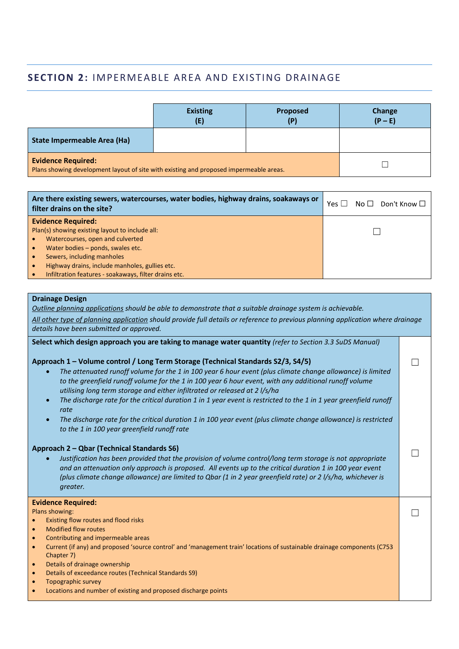## **SECTION 2: IMPERMEABLE AREA AND EXISTING DRAINAGE**

|                                                                                                                     | <b>Existing</b><br>(E) | <b>Proposed</b><br>(P) | Change<br>$(P - E)$ |
|---------------------------------------------------------------------------------------------------------------------|------------------------|------------------------|---------------------|
| <b>State Impermeable Area (Ha)</b>                                                                                  |                        |                        |                     |
| <b>Evidence Required:</b><br>Plans showing development layout of site with existing and proposed impermeable areas. |                        |                        |                     |

| Are there existing sewers, watercourses, water bodies, highway drains, soakaways or<br>filter drains on the site? | $No \Box$ Don't Know $\Box$<br>Yes L |
|-------------------------------------------------------------------------------------------------------------------|--------------------------------------|
| <b>Evidence Required:</b>                                                                                         |                                      |
| Plan(s) showing existing layout to include all:                                                                   |                                      |
| Watercourses, open and culverted                                                                                  |                                      |
| Water bodies - ponds, swales etc.                                                                                 |                                      |
| Sewers, including manholes                                                                                        |                                      |
| Highway drains, include manholes, gullies etc.                                                                    |                                      |
| Infiltration features - soakaways, filter drains etc.                                                             |                                      |

#### **Drainage Design**

*Outline planning applications should be able to demonstrate that a suitable drainage system is achievable. All other type of planning application should provide full details or reference to previous planning application where drainage details have been submitted or approved.* 

 $\Box$ 

 $\Box$ 

 $\Box$ 

**Select which design approach you are taking to manage water quantity** *(refer to Section 3.3 SuDS Manual)*

#### **Approach 1 – Volume control / Long Term Storage (Technical Standards S2/3, S4/5)**

- *The attenuated runoff volume for the 1 in 100 year 6 hour event (plus climate change allowance) is limited to the greenfield runoff volume for the 1 in 100 year 6 hour event, with any additional runoff volume utilising long term storage and either infiltrated or released at 2 l/s/ha*
- *The discharge rate for the critical duration 1 in 1 year event is restricted to the 1 in 1 year greenfield runoff rate*
- *The discharge rate for the critical duration 1 in 100 year event (plus climate change allowance) is restricted to the 1 in 100 year greenfield runoff rate*

#### **Approach 2 – Qbar (Technical Standards S6)**

• *Justification has been provided that the provision of volume control/long term storage is not appropriate and an attenuation only approach is proposed. All events up to the critical duration 1 in 100 year event (plus climate change allowance) are limited to Qbar (1 in 2 year greenfield rate) or 2 l/s/ha, whichever is greater.*

#### **Evidence Required:**

Plans showing:

- Existing flow routes and flood risks
- Modified flow routes
- Contributing and impermeable areas
- Current (if any) and proposed 'source control' and 'management train' locations of sustainable drainage components (C753 Chapter 7)
- Details of drainage ownership
- Details of exceedance routes (Technical Standards S9)
- Topographic survey
- Locations and number of existing and proposed discharge points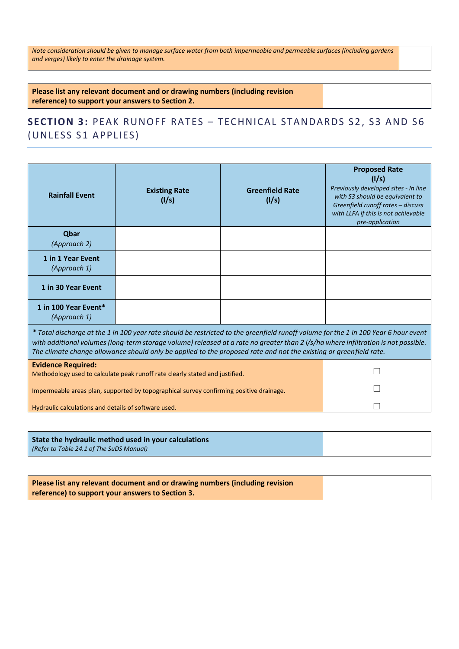*Note consideration should be given to manage surface water from both impermeable and permeable surfaces (including gardens and verges) likely to enter the drainage system.*

**Please list any relevant document and or drawing numbers (including revision reference) to support your answers to Section 2.**

## **SECTION 3: PEAK RUNOFF RATES - TECHNICAL STANDARDS S2, S3 AND S6** (UNLESS S1 APPLIES)

| <b>Rainfall Event</b>                                                                                                                                                                                                                                                                                                                                                                          | <b>Existing Rate</b><br>(1/s) | <b>Greenfield Rate</b><br>(1/s) | <b>Proposed Rate</b><br>(1/s)<br>Previously developed sites - In line<br>with S3 should be equivalent to<br>Greenfield runoff rates - discuss<br>with LLFA if this is not achievable<br>pre-application |  |
|------------------------------------------------------------------------------------------------------------------------------------------------------------------------------------------------------------------------------------------------------------------------------------------------------------------------------------------------------------------------------------------------|-------------------------------|---------------------------------|---------------------------------------------------------------------------------------------------------------------------------------------------------------------------------------------------------|--|
| Qbar<br>(Approach 2)                                                                                                                                                                                                                                                                                                                                                                           |                               |                                 |                                                                                                                                                                                                         |  |
| 1 in 1 Year Event<br>(Approach 1)                                                                                                                                                                                                                                                                                                                                                              |                               |                                 |                                                                                                                                                                                                         |  |
| 1 in 30 Year Event                                                                                                                                                                                                                                                                                                                                                                             |                               |                                 |                                                                                                                                                                                                         |  |
| 1 in 100 Year Event*<br>(Approach 1)                                                                                                                                                                                                                                                                                                                                                           |                               |                                 |                                                                                                                                                                                                         |  |
| * Total discharge at the 1 in 100 year rate should be restricted to the greenfield runoff volume for the 1 in 100 Year 6 hour event<br>with additional volumes (long-term storage volume) released at a rate no greater than 2 l/s/ha where infiltration is not possible.<br>The climate change allowance should only be applied to the proposed rate and not the existing or greenfield rate. |                               |                                 |                                                                                                                                                                                                         |  |
| <b>Evidence Required:</b><br>Methodology used to calculate peak runoff rate clearly stated and justified.                                                                                                                                                                                                                                                                                      |                               |                                 |                                                                                                                                                                                                         |  |
| Impermeable areas plan, supported by topographical survey confirming positive drainage.                                                                                                                                                                                                                                                                                                        |                               |                                 |                                                                                                                                                                                                         |  |
| Hydraulic calculations and details of software used.                                                                                                                                                                                                                                                                                                                                           |                               |                                 |                                                                                                                                                                                                         |  |
|                                                                                                                                                                                                                                                                                                                                                                                                |                               |                                 |                                                                                                                                                                                                         |  |

| State the hydraulic method used in your calculations |  |
|------------------------------------------------------|--|
| (Refer to Table 24.1 of The SuDS Manual)             |  |

| Please list any relevant document and or drawing numbers (including revision |
|------------------------------------------------------------------------------|
| reference) to support your answers to Section 3.                             |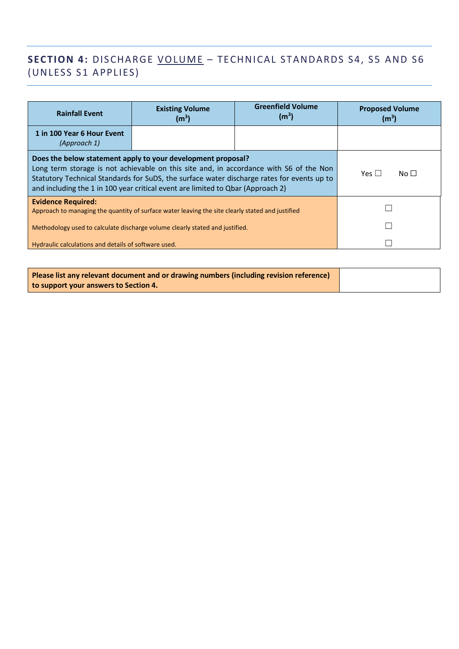## **SECTION 4:** DISCHARGE VOLUME - TECHNICAL STANDARDS S4, S5 AND S6 (UNLESS S1 APPLIES)

| <b>Rainfall Event</b>                                                                                                                                                                                                                                                                                                                   | <b>Existing Volume</b><br>(m <sup>3</sup> ) | <b>Greenfield Volume</b><br>(m <sup>3</sup> ) | <b>Proposed Volume</b><br>(m <sup>3</sup> ) |
|-----------------------------------------------------------------------------------------------------------------------------------------------------------------------------------------------------------------------------------------------------------------------------------------------------------------------------------------|---------------------------------------------|-----------------------------------------------|---------------------------------------------|
| 1 in 100 Year 6 Hour Event<br>(Approach 1)                                                                                                                                                                                                                                                                                              |                                             |                                               |                                             |
| Does the below statement apply to your development proposal?<br>Long term storage is not achievable on this site and, in accordance with S6 of the Non<br>Statutory Technical Standards for SuDS, the surface water discharge rates for events up to<br>and including the 1 in 100 year critical event are limited to Qbar (Approach 2) | Yes $\Box$<br>$N$ o $\Box$                  |                                               |                                             |
| <b>Evidence Required:</b><br>Approach to managing the quantity of surface water leaving the site clearly stated and justified                                                                                                                                                                                                           |                                             |                                               |                                             |
| Methodology used to calculate discharge volume clearly stated and justified.                                                                                                                                                                                                                                                            |                                             |                                               |                                             |
| Hydraulic calculations and details of software used.                                                                                                                                                                                                                                                                                    |                                             |                                               |                                             |

| Please list any relevant document and or drawing numbers (including revision reference) |  |
|-----------------------------------------------------------------------------------------|--|
| to support your answers to Section 4.                                                   |  |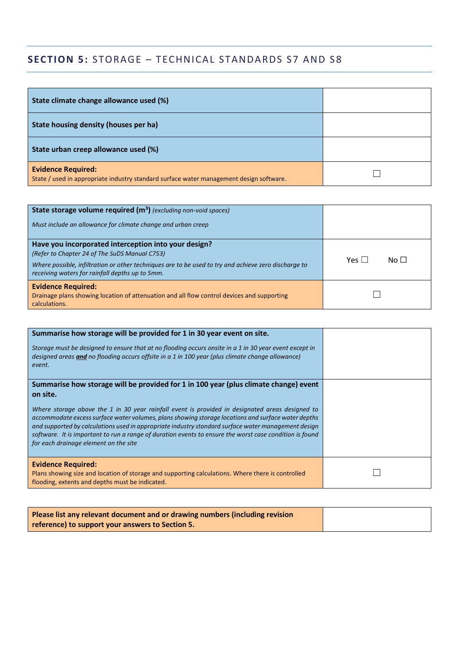# **SECTION 5:** STORAGE – TECHNICAL STANDARDS S7 AND S8

| State climate change allowance used (%)                                                                              |  |
|----------------------------------------------------------------------------------------------------------------------|--|
| State housing density (houses per ha)                                                                                |  |
| State urban creep allowance used (%)                                                                                 |  |
| <b>Evidence Required:</b><br>State / used in appropriate industry standard surface water management design software. |  |

| State storage volume required (m <sup>3</sup> ) (excluding non-void spaces)                                                                                                                                                                                      |                              |
|------------------------------------------------------------------------------------------------------------------------------------------------------------------------------------------------------------------------------------------------------------------|------------------------------|
| Must include an allowance for climate change and urban creep                                                                                                                                                                                                     |                              |
| Have you incorporated interception into your design?<br>(Refer to Chapter 24 of The SuDS Manual C753)<br>Where possible, infiltration or other techniques are to be used to try and achieve zero discharge to<br>receiving waters for rainfall depths up to 5mm. | No $\Box$<br>$Yes \mid \mid$ |
| <b>Evidence Required:</b><br>Drainage plans showing location of attenuation and all flow control devices and supporting<br>calculations.                                                                                                                         |                              |

| Summarise how storage will be provided for 1 in 30 year event on site.<br>Storage must be designed to ensure that at no flooding occurs onsite in a 1 in 30 year event except in<br>designed areas and no flooding occurs offsite in a 1 in 100 year (plus climate change allowance)<br>event.                                                                                                                                                                                                                                                                       |  |
|----------------------------------------------------------------------------------------------------------------------------------------------------------------------------------------------------------------------------------------------------------------------------------------------------------------------------------------------------------------------------------------------------------------------------------------------------------------------------------------------------------------------------------------------------------------------|--|
| Summarise how storage will be provided for 1 in 100 year (plus climate change) event<br>on site.<br>Where storage above the 1 in 30 year rainfall event is provided in designated areas designed to<br>accommodate excess surface water volumes, plans showing storage locations and surface water depths<br>and supported by calculations used in appropriate industry standard surface water management design<br>software. It is important to run a range of duration events to ensure the worst case condition is found<br>for each drainage element on the site |  |
| <b>Evidence Required:</b><br>Plans showing size and location of storage and supporting calculations. Where there is controlled<br>flooding, extents and depths must be indicated.                                                                                                                                                                                                                                                                                                                                                                                    |  |

| Please list any relevant document and or drawing numbers (including revision |
|------------------------------------------------------------------------------|
| reference) to support your answers to Section 5.                             |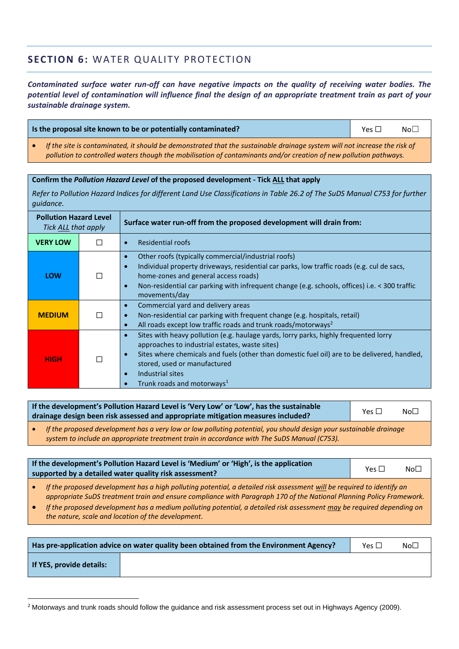## **SECTION 6:** WATER QUALITY PROTECTION

*Contaminated surface water run-off can have negative impacts on the quality of receiving water bodies. The potential level of contamination will influence final the design of an appropriate treatment train as part of your sustainable drainage system.*

| Is the proposal site known to be or potentially contaminated? | Yes $\Box$ | No <sub>1</sub> |
|---------------------------------------------------------------|------------|-----------------|
|                                                               |            |                 |

• *If the site is contaminated, it should be demonstrated that the sustainable drainage system will not increase the risk of pollution to controlled waters though the mobilisation of contaminants and/or creation of new pollution pathways.* 

| Confirm the Pollution Hazard Level of the proposed development - Tick ALL that apply |   |                                                                                                                                                                                                                                                                                                                                                                                          |  |  |  |  |
|--------------------------------------------------------------------------------------|---|------------------------------------------------------------------------------------------------------------------------------------------------------------------------------------------------------------------------------------------------------------------------------------------------------------------------------------------------------------------------------------------|--|--|--|--|
| <i>guidance.</i>                                                                     |   | Refer to Pollution Hazard Indices for different Land Use Classifications in Table 26.2 of The SuDS Manual C753 for further                                                                                                                                                                                                                                                               |  |  |  |  |
| <b>Pollution Hazard Level</b><br>Tick ALL that apply                                 |   | Surface water run-off from the proposed development will drain from:                                                                                                                                                                                                                                                                                                                     |  |  |  |  |
| <b>VERY LOW</b>                                                                      |   | <b>Residential roofs</b><br>$\bullet$                                                                                                                                                                                                                                                                                                                                                    |  |  |  |  |
| <b>LOW</b>                                                                           | П | Other roofs (typically commercial/industrial roofs)<br>$\bullet$<br>Individual property driveways, residential car parks, low traffic roads (e.g. cul de sacs,<br>$\bullet$<br>home-zones and general access roads)<br>Non-residential car parking with infrequent change (e.g. schools, offices) i.e. < 300 traffic<br>$\bullet$<br>movements/day                                       |  |  |  |  |
| <b>MEDIUM</b>                                                                        |   | Commercial yard and delivery areas<br>$\bullet$<br>Non-residential car parking with frequent change (e.g. hospitals, retail)<br>$\bullet$<br>All roads except low traffic roads and trunk roads/motorways <sup>2</sup><br>$\bullet$                                                                                                                                                      |  |  |  |  |
| <b>HIGH</b>                                                                          |   | Sites with heavy pollution (e.g. haulage yards, lorry parks, highly frequented lorry<br>$\bullet$<br>approaches to industrial estates, waste sites)<br>Sites where chemicals and fuels (other than domestic fuel oil) are to be delivered, handled,<br>$\bullet$<br>stored, used or manufactured<br>Industrial sites<br>$\bullet$<br>Trunk roads and motorways <sup>1</sup><br>$\bullet$ |  |  |  |  |

**If the development's Pollution Hazard Level is 'Very Low' or 'Low', has the sustainable**  drainage design been risk assessed and appropriate mitigation measures included? Yes □ No□

• *If the proposed development has a very low or low polluting potential, you should design your sustainable drainage system to include an appropriate treatment train in accordance with The SuDS Manual (C753).* 

| If the development's Pollution Hazard Level is 'Medium' or 'High', is the application<br>supported by a detailed water quality risk assessment? |  |  | Yes $\Box$ | No <sub>1</sub> |  |  |  |
|-------------------------------------------------------------------------------------------------------------------------------------------------|--|--|------------|-----------------|--|--|--|
|                                                                                                                                                 |  |  |            |                 |  |  |  |
|                                                                                                                                                 |  |  |            |                 |  |  |  |

• If the proposed development has a high polluting potential, a detailed risk assessment will be required to identify an *appropriate SuDS treatment train and ensure compliance with Paragraph 170 of the National Planning Policy Framework.* 

• *If the proposed development has a medium polluting potential, a detailed risk assessment may be required depending on the nature, scale and location of the development.*

| Has pre-application advice on water quality been obtained from the Environment Agency? |  |  | No <sub>1</sub> |
|----------------------------------------------------------------------------------------|--|--|-----------------|
| If YES, provide details:                                                               |  |  |                 |

<sup>&</sup>lt;sup>2</sup> Motorways and trunk roads should follow the guidance and risk assessment process set out in Highways Agency (2009).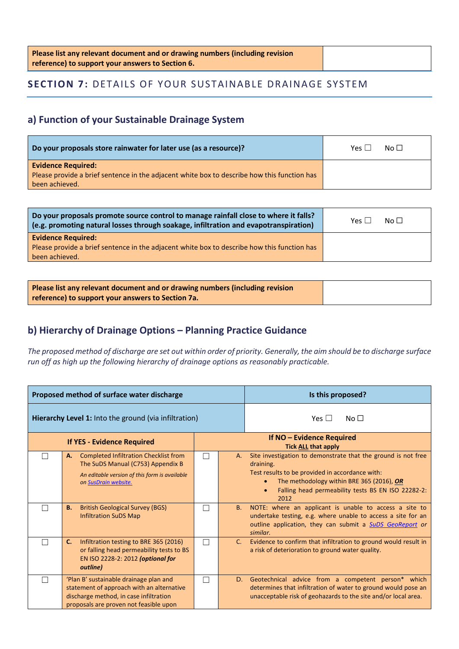| Please list any relevant document and or drawing numbers (including revision |  |
|------------------------------------------------------------------------------|--|
| reference) to support your answers to Section 6.                             |  |

## **SECTION 7: DETAILS OF YOUR SUSTAINABLE DRAINAGE SYSTEM**

## **a) Function of your Sustainable Drainage System**

| Do your proposals store rainwater for later use (as a resource)?                            | $N \circ \Box$<br>Yes I |
|---------------------------------------------------------------------------------------------|-------------------------|
| <b>Evidence Required:</b>                                                                   |                         |
| Please provide a brief sentence in the adjacent white box to describe how this function has |                         |
| been achieved.                                                                              |                         |

| Do your proposals promote source control to manage rainfall close to where it falls?                                                       | $N0$ $\Box$     |
|--------------------------------------------------------------------------------------------------------------------------------------------|-----------------|
| (e.g. promoting natural losses through soakage, infiltration and evapotranspiration)                                                       | Yes $  \cdot  $ |
| <b>Evidence Required:</b><br>Please provide a brief sentence in the adjacent white box to describe how this function has<br>been achieved. |                 |

| Please list any relevant document and or drawing numbers (including revision |
|------------------------------------------------------------------------------|
| reference) to support your answers to Section 7a.                            |

## **b) Hierarchy of Drainage Options – Planning Practice Guidance**

*The proposed method of discharge are set out within order of priority. Generally, the aim should be to discharge surface run off as high up the following hierarchy of drainage options as reasonably practicable.*

|    | Proposed method of surface water discharge                                                                                                                                                                                                       | Is this proposed? |                         |                                                                                                                                                                                                                                                                                                                                                                                                                                             |
|----|--------------------------------------------------------------------------------------------------------------------------------------------------------------------------------------------------------------------------------------------------|-------------------|-------------------------|---------------------------------------------------------------------------------------------------------------------------------------------------------------------------------------------------------------------------------------------------------------------------------------------------------------------------------------------------------------------------------------------------------------------------------------------|
|    | Hierarchy Level 1: Into the ground (via infiltration)                                                                                                                                                                                            |                   | Yes $\Box$<br>No $\Box$ |                                                                                                                                                                                                                                                                                                                                                                                                                                             |
|    | <b>If YES - Evidence Required</b>                                                                                                                                                                                                                |                   |                         | If NO - Evidence Required<br><b>Tick ALL that apply</b>                                                                                                                                                                                                                                                                                                                                                                                     |
|    | <b>Completed Infiltration Checklist from</b><br>А.<br>The SuDS Manual (C753) Appendix B<br>An editable version of this form is available<br>on SusDrain website.<br><b>British Geological Survey (BGS)</b><br>В.<br><b>Infiltration SuDS Map</b> |                   | A.<br><b>B.</b>         | Site investigation to demonstrate that the ground is not free<br>draining.<br>Test results to be provided in accordance with:<br>The methodology within BRE 365 (2016), OR<br>$\bullet$<br>Falling head permeability tests BS EN ISO 22282-2:<br>2012<br>NOTE: where an applicant is unable to access a site to<br>undertake testing, e.g. where unable to access a site for an<br>outline application, they can submit a SuDS GeoReport or |
|    | Infiltration testing to BRE 365 (2016)<br>C.<br>or falling head permeability tests to BS<br>EN ISO 2228-2: 2012 (optional for<br>outline)                                                                                                        |                   | $C_{1}$                 | similar.<br>Evidence to confirm that infiltration to ground would result in<br>a risk of deterioration to ground water quality.                                                                                                                                                                                                                                                                                                             |
| m, | 'Plan B' sustainable drainage plan and<br>statement of approach with an alternative<br>discharge method, in case infiltration<br>proposals are proven not feasible upon                                                                          | $\mathcal{L}$     |                         | D. Geotechnical advice from a competent person* which<br>determines that infiltration of water to ground would pose an<br>unacceptable risk of geohazards to the site and/or local area.                                                                                                                                                                                                                                                    |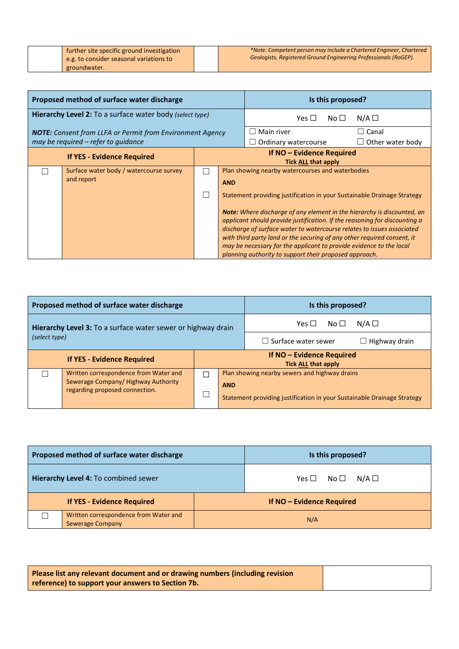| further site specific ground investigation |
|--------------------------------------------|
| e.g. to consider seasonal variations to    |
| groundwater.                               |

| Proposed method of surface water discharge               |                                                                  |  | Is this proposed?         |                                                                                                                                                                                                                                                                                                                                                                                                                                                    |                 |                  |
|----------------------------------------------------------|------------------------------------------------------------------|--|---------------------------|----------------------------------------------------------------------------------------------------------------------------------------------------------------------------------------------------------------------------------------------------------------------------------------------------------------------------------------------------------------------------------------------------------------------------------------------------|-----------------|------------------|
| Hierarchy Level 2: To a surface water body (select type) |                                                                  |  | Yes $\Box$                | No $\Box$                                                                                                                                                                                                                                                                                                                                                                                                                                          | $N/A$ $\square$ |                  |
|                                                          | <b>NOTE:</b> Consent from LLFA or Permit from Environment Agency |  |                           | Main river                                                                                                                                                                                                                                                                                                                                                                                                                                         |                 | $\Box$ Canal     |
|                                                          | may be required - refer to guidance                              |  |                           | Ordinary watercourse                                                                                                                                                                                                                                                                                                                                                                                                                               |                 | Other water body |
| <b>If YES - Evidence Required</b>                        |                                                                  |  | If NO - Evidence Required |                                                                                                                                                                                                                                                                                                                                                                                                                                                    |                 |                  |
|                                                          |                                                                  |  |                           | <b>Tick ALL that apply</b>                                                                                                                                                                                                                                                                                                                                                                                                                         |                 |                  |
|                                                          | Surface water body / watercourse survey                          |  |                           | Plan showing nearby watercourses and waterbodies                                                                                                                                                                                                                                                                                                                                                                                                   |                 |                  |
|                                                          | and report                                                       |  | <b>AND</b>                |                                                                                                                                                                                                                                                                                                                                                                                                                                                    |                 |                  |
|                                                          |                                                                  |  |                           | Statement providing justification in your Sustainable Drainage Strategy                                                                                                                                                                                                                                                                                                                                                                            |                 |                  |
|                                                          |                                                                  |  |                           | <b>Note:</b> Where discharge of any element in the hierarchy is discounted, an<br>applicant should provide justification. If the reasoning for discounting a<br>discharge of surface water to watercourse relates to issues associated<br>with third party land or the securing of any other required consent, it<br>may be necessary for the applicant to provide evidence to the local<br>planning authority to support their proposed approach. |                 |                  |

| Proposed method of surface water discharge                                       |  |  |            | Is this proposed?                                                       |                      |
|----------------------------------------------------------------------------------|--|--|------------|-------------------------------------------------------------------------|----------------------|
| Hierarchy Level 3: To a surface water sewer or highway drain<br>(select type)    |  |  |            | Yes $\Box$<br>No $\Box$                                                 | $N/A$ $\square$      |
|                                                                                  |  |  |            | $\Box$ Surface water sewer                                              | $\Box$ Highway drain |
| <b>If YES - Evidence Required</b>                                                |  |  |            | If NO - Evidence Required<br><b>Tick ALL that apply</b>                 |                      |
| Written correspondence from Water and<br>П<br>Sewerage Company/Highway Authority |  |  |            | Plan showing nearby sewers and highway drains                           |                      |
| regarding proposed connection.                                                   |  |  | <b>AND</b> | Statement providing justification in your Sustainable Drainage Strategy |                      |

| Proposed method of surface water discharge                       | Is this proposed?           |
|------------------------------------------------------------------|-----------------------------|
| Hierarchy Level 4: To combined sewer                             | $Yes \Box No \Box N/A \Box$ |
| <b>If YES - Evidence Required</b>                                | If NO - Evidence Required   |
| Written correspondence from Water and<br><b>Sewerage Company</b> | N/A                         |

| Please list any relevant document and or drawing numbers (including revision |
|------------------------------------------------------------------------------|
| reference) to support your answers to Section 7b.                            |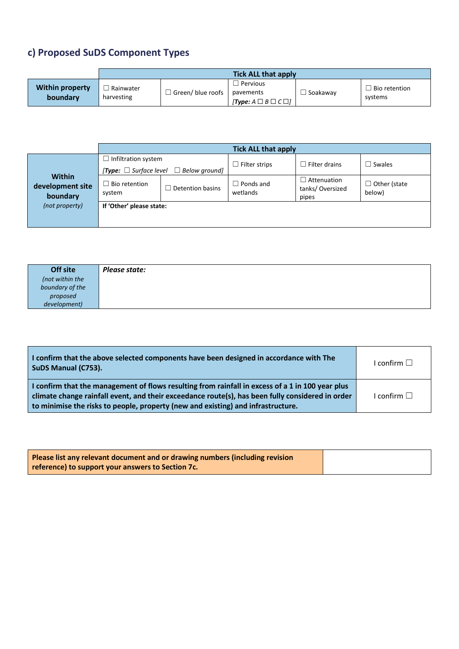# **c) Proposed SuDS Component Types**

|                                    | <b>Tick ALL that apply</b> |                  |                                                                               |          |                                 |  |
|------------------------------------|----------------------------|------------------|-------------------------------------------------------------------------------|----------|---------------------------------|--|
| <b>Within property</b><br>boundary | Rainwater<br>harvesting    | Green/blue roofs | <sup>'</sup> Pervious<br>pavements<br>$[Type: A \square B \square C \square]$ | Soakaway | $\Box$ Bio retention<br>systems |  |

|                                               | <b>Tick ALL that apply</b> |                                                  |                       |                                                |                               |
|-----------------------------------------------|----------------------------|--------------------------------------------------|-----------------------|------------------------------------------------|-------------------------------|
|                                               | Infiltration system        |                                                  | Filter strips         | $\Box$ Filter drains                           | $\Box$ Swales                 |
|                                               |                            | [Type: $\Box$ Surface level $\Box$ Below ground] |                       |                                                |                               |
| <b>Within</b><br>development site<br>boundary | Bio retention<br>system    | $\Box$ Detention basins                          | Ponds and<br>wetlands | $\Box$ Attenuation<br>tanks/Oversized<br>pipes | $\Box$ Other (state<br>below) |
| (not property)                                | If 'Other' please state:   |                                                  |                       |                                                |                               |

| Off site        | Please state: |
|-----------------|---------------|
| (not within the |               |
| boundary of the |               |
| proposed        |               |
| development)    |               |

| I confirm that the above selected components have been designed in accordance with The<br>SuDS Manual (C753).                                                                                                                                                                            | I confirm $\square$ |
|------------------------------------------------------------------------------------------------------------------------------------------------------------------------------------------------------------------------------------------------------------------------------------------|---------------------|
| I confirm that the management of flows resulting from rainfall in excess of a 1 in 100 year plus<br>climate change rainfall event, and their exceedance route(s), has been fully considered in order<br>to minimise the risks to people, property (new and existing) and infrastructure. | I confirm $\Box$    |

| Please list any relevant document and or drawing numbers (including revision |  |
|------------------------------------------------------------------------------|--|
| reference) to support your answers to Section 7c.                            |  |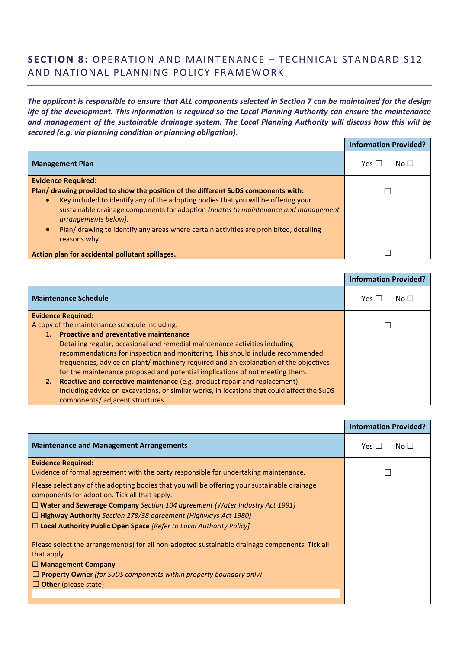## **SECTION 8:** OPERATION AND MAINTENANCE - TECHNICAL STANDARD S12 AND NATIONAL PLANNING POLICY FRAMEWORK

*The applicant is responsible to ensure that ALL components selected in Section 7 can be maintained for the design life of the development. This information is required so the Local Planning Authority can ensure the maintenance and management of the sustainable drainage system. The Local Planning Authority will discuss how this will be secured (e.g. via planning condition or planning obligation).*

|                                                                                                             | <b>Information Provided?</b> |
|-------------------------------------------------------------------------------------------------------------|------------------------------|
| <b>Management Plan</b>                                                                                      | Yes $\Box$<br>No $\Box$      |
| <b>Evidence Required:</b>                                                                                   |                              |
| Plan/ drawing provided to show the position of the different SuDS components with:                          |                              |
| Key included to identify any of the adopting bodies that you will be offering your<br>$\bullet$             |                              |
| sustainable drainage components for adoption (relates to maintenance and management<br>arrangements below). |                              |
| Plan/ drawing to identify any areas where certain activities are prohibited, detailing<br>reasons why.      |                              |
| Action plan for accidental pollutant spillages.                                                             |                              |

|                                                                                            | <b>Information Provided?</b> |
|--------------------------------------------------------------------------------------------|------------------------------|
| <b>Maintenance Schedule</b>                                                                | $N$ o $\Box$                 |
| <b>Evidence Required:</b>                                                                  |                              |
| A copy of the maintenance schedule including:                                              |                              |
| 1. Proactive and preventative maintenance                                                  |                              |
| Detailing regular, occasional and remedial maintenance activities including                |                              |
| recommendations for inspection and monitoring. This should include recommended             |                              |
| frequencies, advice on plant/machinery required and an explanation of the objectives       |                              |
| for the maintenance proposed and potential implications of not meeting them.               |                              |
| 2. Reactive and corrective maintenance (e.g. product repair and replacement).              |                              |
| Including advice on excavations, or similar works, in locations that could affect the SuDS |                              |
| components/adjacent structures.                                                            |                              |

|                                                                                                                                               | <b>Information Provided?</b> |
|-----------------------------------------------------------------------------------------------------------------------------------------------|------------------------------|
| <b>Maintenance and Management Arrangements</b>                                                                                                | Yes $\Box$<br>No $\Box$      |
| <b>Evidence Required:</b>                                                                                                                     |                              |
| Evidence of formal agreement with the party responsible for undertaking maintenance.                                                          |                              |
| Please select any of the adopting bodies that you will be offering your sustainable drainage<br>components for adoption. Tick all that apply. |                              |
| $\Box$ Water and Sewerage Company Section 104 agreement (Water Industry Act 1991)                                                             |                              |
| $\Box$ Highway Authority Section 278/38 agreement (Highways Act 1980)                                                                         |                              |
| $\Box$ Local Authority Public Open Space [Refer to Local Authority Policy]                                                                    |                              |
| Please select the arrangement(s) for all non-adopted sustainable drainage components. Tick all<br>that apply.                                 |                              |
| $\Box$ Management Company                                                                                                                     |                              |
| $\Box$ Property Owner (for SuDS components within property boundary only)                                                                     |                              |
| $\Box$ Other (please state)                                                                                                                   |                              |
|                                                                                                                                               |                              |